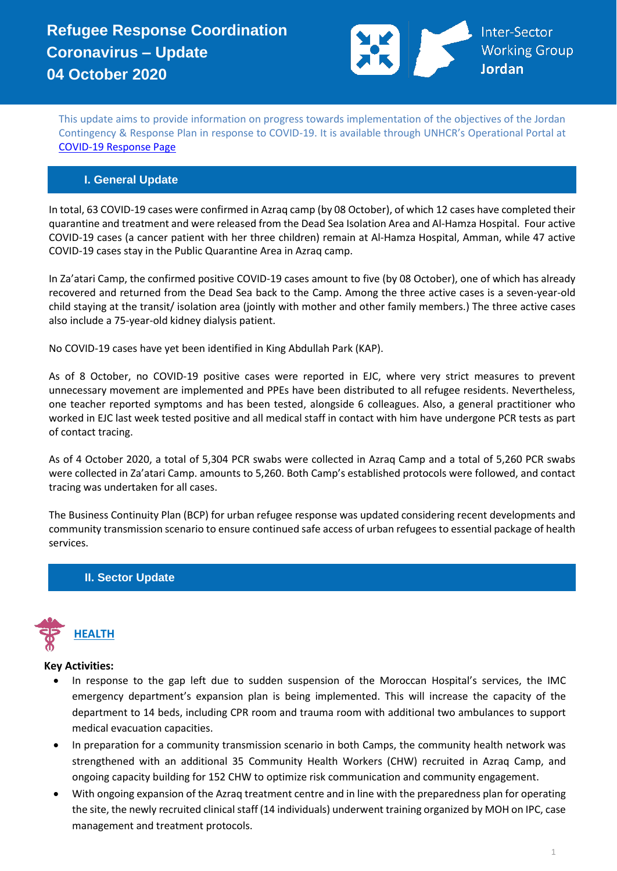

This update aims to provide information on progress towards implementation of the objectives of the Jordan Contingency & Response Plan in response to COVID-19. It is available through UNHCR's Operational Portal at [COVID-19 Response Page](https://eur02.safelinks.protection.outlook.com/?url=https%3A%2F%2Fdata2.unhcr.org%2Fen%2Fworking-group%2F251%3Fsv%3D4%26geo%3D36&data=02%7C01%7Cbyunc%40unhcr.org%7C0621d0ad56f141cfe71708d7d3d2dc45%7Ce5c37981666441348a0c6543d2af80be%7C0%7C0%7C637210774895002030&sdata=aPEtg5vDIBj3A4AWkO5sOLo7pACA7Q8cjR8bwQyAa8c%3D&reserved=0)

## **I. General Update**

In total, 63 COVID-19 cases were confirmed in Azraq camp (by 08 October), of which 12 cases have completed their quarantine and treatment and were released from the Dead Sea Isolation Area and Al-Hamza Hospital. Four active COVID-19 cases (a cancer patient with her three children) remain at Al-Hamza Hospital, Amman, while 47 active COVID-19 cases stay in the Public Quarantine Area in Azraq camp.

In Za'atari Camp, the confirmed positive COVID-19 cases amount to five (by 08 October), one of which has already recovered and returned from the Dead Sea back to the Camp. Among the three active cases is a seven-year-old child staying at the transit/ isolation area (jointly with mother and other family members.) The three active cases also include a 75-year-old kidney dialysis patient.

No COVID-19 cases have yet been identified in King Abdullah Park (KAP).

As of 8 October, no COVID-19 positive cases were reported in EJC, where very strict measures to prevent unnecessary movement are implemented and PPEs have been distributed to all refugee residents. Nevertheless, one teacher reported symptoms and has been tested, alongside 6 colleagues. Also, a general practitioner who worked in EJC last week tested positive and all medical staff in contact with him have undergone PCR tests as part of contact tracing.

As of 4 October 2020, a total of 5,304 PCR swabs were collected in Azraq Camp and a total of 5,260 PCR swabs were collected in Za'atari Camp. amounts to 5,260. Both Camp's established protocols were followed, and contact tracing was undertaken for all cases.

The Business Continuity Plan (BCP) for urban refugee response was updated considering recent developments and community transmission scenario to ensure continued safe access of urban refugees to essential package of health services.

## **II. Sector Update**



#### **Key Activities:**

- In response to the gap left due to sudden suspension of the Moroccan Hospital's services, the IMC emergency department's expansion plan is being implemented. This will increase the capacity of the department to 14 beds, including CPR room and trauma room with additional two ambulances to support medical evacuation capacities.
- In preparation for a community transmission scenario in both Camps, the community health network was strengthened with an additional 35 Community Health Workers (CHW) recruited in Azraq Camp, and ongoing capacity building for 152 CHW to optimize risk communication and community engagement.
- With ongoing expansion of the Azraq treatment centre and in line with the preparedness plan for operating the site, the newly recruited clinical staff (14 individuals) underwent training organized by MOH on IPC, case management and treatment protocols.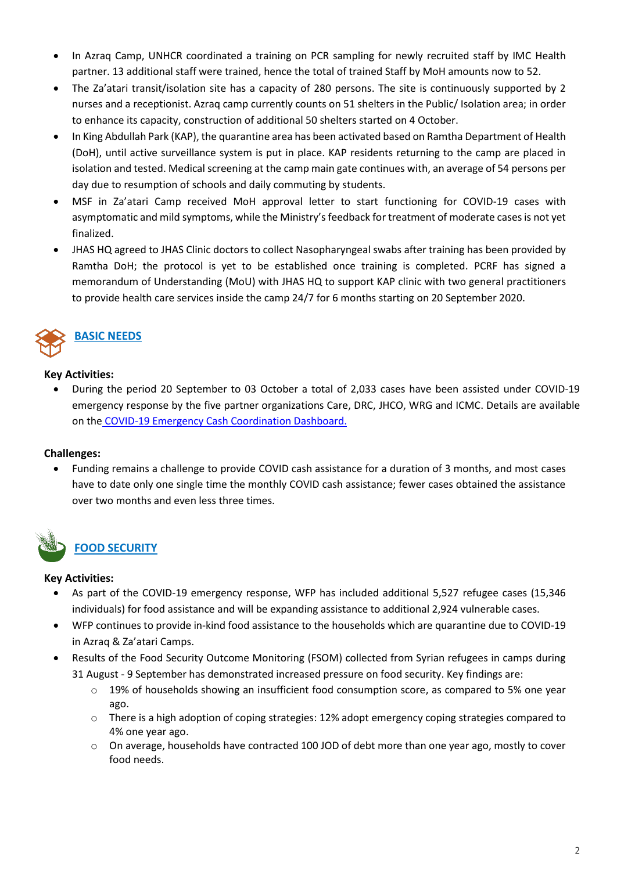- In Azraq Camp, UNHCR coordinated a training on PCR sampling for newly recruited staff by IMC Health partner. 13 additional staff were trained, hence the total of trained Staff by MoH amounts now to 52.
- The Za'atari transit/isolation site has a capacity of 280 persons. The site is continuously supported by 2 nurses and a receptionist. Azraq camp currently counts on 51 shelters in the Public/ Isolation area; in order to enhance its capacity, construction of additional 50 shelters started on 4 October.
- In King Abdullah Park (KAP), the quarantine area has been activated based on Ramtha Department of Health (DoH), until active surveillance system is put in place. KAP residents returning to the camp are placed in isolation and tested. Medical screening at the camp main gate continues with, an average of 54 persons per day due to resumption of schools and daily commuting by students.
- MSF in Za'atari Camp received MoH approval letter to start functioning for COVID-19 cases with asymptomatic and mild symptoms, while the Ministry's feedback for treatment of moderate cases is not yet finalized.
- JHAS HQ agreed to JHAS Clinic doctors to collect Nasopharyngeal swabs after training has been provided by Ramtha DoH; the protocol is yet to be established once training is completed. PCRF has signed a memorandum of Understanding (MoU) with JHAS HQ to support KAP clinic with two general practitioners to provide health care services inside the camp 24/7 for 6 months starting on 20 September 2020.



## **BASIC NEEDS**

## **Key Activities:**

• During the period 20 September to 03 October a total of 2,033 cases have been assisted under COVID-19 emergency response by the five partner organizations Care, DRC, JHCO, WRG and ICMC. Details are available on the [COVID-19 Emergency Cash Coordination Dashboard.](https://data2.unhcr.org/en/documents/details/75926)

## **Challenges:**

• Funding remains a challenge to provide COVID cash assistance for a duration of 3 months, and most cases have to date only one single time the monthly COVID cash assistance; fewer cases obtained the assistance over two months and even less three times.



## **FOOD SECURITY**

## **Key Activities:**

- As part of the COVID-19 emergency response, WFP has included additional 5,527 refugee cases (15,346 individuals) for food assistance and will be expanding assistance to additional 2,924 vulnerable cases.
- WFP continues to provide in-kind food assistance to the households which are quarantine due to COVID-19 in Azraq & Za'atari Camps.
- Results of the Food Security Outcome Monitoring (FSOM) collected from Syrian refugees in camps during 31 August - 9 September has demonstrated increased pressure on food security. Key findings are:
	- $\circ$  19% of households showing an insufficient food consumption score, as compared to 5% one year ago.
	- o There is a high adoption of coping strategies: 12% adopt emergency coping strategies compared to 4% one year ago.
	- o On average, households have contracted 100 JOD of debt more than one year ago, mostly to cover food needs.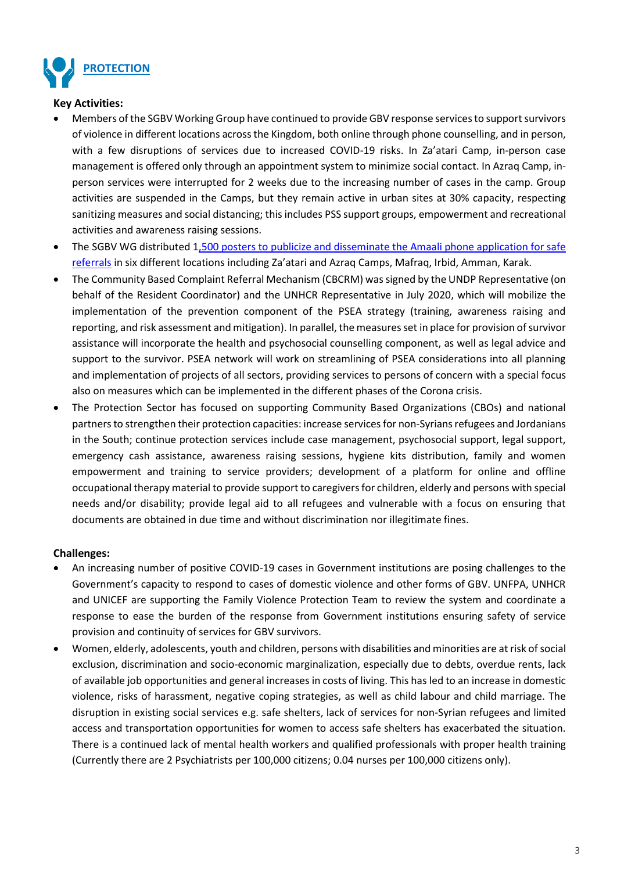

#### **Key Activities:**

- Members of the SGBV Working Group have continued to provide GBV response services to support survivors of violence in different locations across the Kingdom, both online through phone counselling, and in person, with a few disruptions of services due to increased COVID-19 risks. In Za'atari Camp, in-person case management is offered only through an appointment system to minimize social contact. In Azraq Camp, inperson services were interrupted for 2 weeks due to the increasing number of cases in the camp. Group activities are suspended in the Camps, but they remain active in urban sites at 30% capacity, respecting sanitizing measures and social distancing; this includes PSS support groups, empowerment and recreational activities and awareness raising sessions.
- The SGBV WG distributed 1,500 posters to publicize and disseminate the Amaali phone application for safe [referrals](https://data2.unhcr.org/en/documents/details/79308) in six different locations including Za'atari and Azraq Camps, Mafraq, Irbid, Amman, Karak.
- The Community Based Complaint Referral Mechanism (CBCRM) was signed by the UNDP Representative (on behalf of the Resident Coordinator) and the UNHCR Representative in July 2020, which will mobilize the implementation of the prevention component of the PSEA strategy (training, awareness raising and reporting, and risk assessment and mitigation). In parallel, the measures set in place for provision of survivor assistance will incorporate the health and psychosocial counselling component, as well as legal advice and support to the survivor. PSEA network will work on streamlining of PSEA considerations into all planning and implementation of projects of all sectors, providing services to persons of concern with a special focus also on measures which can be implemented in the different phases of the Corona crisis.
- The Protection Sector has focused on supporting Community Based Organizations (CBOs) and national partners to strengthen their protection capacities: increase services for non-Syrians refugees and Jordanians in the South; continue protection services include case management, psychosocial support, legal support, emergency cash assistance, awareness raising sessions, hygiene kits distribution, family and women empowerment and training to service providers; development of a platform for online and offline occupational therapy material to provide support to caregivers for children, elderly and persons with special needs and/or disability; provide legal aid to all refugees and vulnerable with a focus on ensuring that documents are obtained in due time and without discrimination nor illegitimate fines.

#### **Challenges:**

- An increasing number of positive COVID-19 cases in Government institutions are posing challenges to the Government's capacity to respond to cases of domestic violence and other forms of GBV. UNFPA, UNHCR and UNICEF are supporting the Family Violence Protection Team to review the system and coordinate a response to ease the burden of the response from Government institutions ensuring safety of service provision and continuity of services for GBV survivors.
- Women, elderly, adolescents, youth and children, persons with disabilities and minorities are at risk of social exclusion, discrimination and socio-economic marginalization, especially due to debts, overdue rents, lack of available job opportunities and general increases in costs of living. This has led to an increase in domestic violence, risks of harassment, negative coping strategies, as well as child labour and child marriage. The disruption in existing social services e.g. safe shelters, lack of services for non-Syrian refugees and limited access and transportation opportunities for women to access safe shelters has exacerbated the situation. There is a continued lack of mental health workers and qualified professionals with proper health training (Currently there are 2 Psychiatrists per 100,000 citizens; 0.04 nurses per 100,000 citizens only).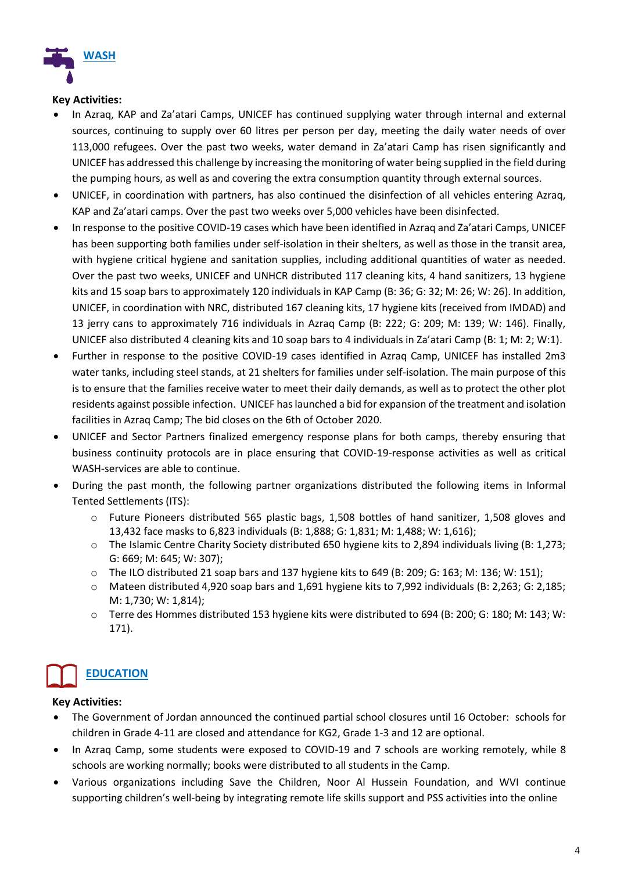

#### **Key Activities:**

- In Azraq, KAP and Za'atari Camps, UNICEF has continued supplying water through internal and external sources, continuing to supply over 60 litres per person per day, meeting the daily water needs of over 113,000 refugees. Over the past two weeks, water demand in Za'atari Camp has risen significantly and UNICEF has addressed this challenge by increasing the monitoring of water being supplied in the field during the pumping hours, as well as and covering the extra consumption quantity through external sources.
- UNICEF, in coordination with partners, has also continued the disinfection of all vehicles entering Azraq, KAP and Za'atari camps. Over the past two weeks over 5,000 vehicles have been disinfected.
- In response to the positive COVID-19 cases which have been identified in Azraq and Za'atari Camps, UNICEF has been supporting both families under self-isolation in their shelters, as well as those in the transit area, with hygiene critical hygiene and sanitation supplies, including additional quantities of water as needed. Over the past two weeks, UNICEF and UNHCR distributed 117 cleaning kits, 4 hand sanitizers, 13 hygiene kits and 15 soap bars to approximately 120 individuals in KAP Camp (B: 36; G: 32; M: 26; W: 26). In addition, UNICEF, in coordination with NRC, distributed 167 cleaning kits, 17 hygiene kits (received from IMDAD) and 13 jerry cans to approximately 716 individuals in Azraq Camp (B: 222; G: 209; M: 139; W: 146). Finally, UNICEF also distributed 4 cleaning kits and 10 soap bars to 4 individuals in Za'atari Camp (B: 1; M: 2; W:1).
- Further in response to the positive COVID-19 cases identified in Azraq Camp, UNICEF has installed 2m3 water tanks, including steel stands, at 21 shelters for families under self-isolation. The main purpose of this is to ensure that the families receive water to meet their daily demands, as well as to protect the other plot residents against possible infection. UNICEF has launched a bid for expansion of the treatment and isolation facilities in Azraq Camp; The bid closes on the 6th of October 2020.
- UNICEF and Sector Partners finalized emergency response plans for both camps, thereby ensuring that business continuity protocols are in place ensuring that COVID-19-response activities as well as critical WASH-services are able to continue.
- During the past month, the following partner organizations distributed the following items in Informal Tented Settlements (ITS):
	- o Future Pioneers distributed 565 plastic bags, 1,508 bottles of hand sanitizer, 1,508 gloves and 13,432 face masks to 6,823 individuals (B: 1,888; G: 1,831; M: 1,488; W: 1,616);
	- o The Islamic Centre Charity Society distributed 650 hygiene kits to 2,894 individuals living (B: 1,273; G: 669; M: 645; W: 307);
	- o The ILO distributed 21 soap bars and 137 hygiene kits to 649 (B: 209; G: 163; M: 136; W: 151);
	- o Mateen distributed 4,920 soap bars and 1,691 hygiene kits to 7,992 individuals (B: 2,263; G: 2,185; M: 1,730; W: 1,814);
	- o Terre des Hommes distributed 153 hygiene kits were distributed to 694 (B: 200; G: 180; M: 143; W: 171).

# **EDUCATION**

## **Key Activities:**

- The Government of Jordan announced the continued partial school closures until 16 October: schools for children in Grade 4-11 are closed and attendance for KG2, Grade 1-3 and 12 are optional.
- In Azraq Camp, some students were exposed to COVID-19 and 7 schools are working remotely, while 8 schools are working normally; books were distributed to all students in the Camp.
- Various organizations including Save the Children, Noor Al Hussein Foundation, and WVI continue supporting children's well-being by integrating remote life skills support and PSS activities into the online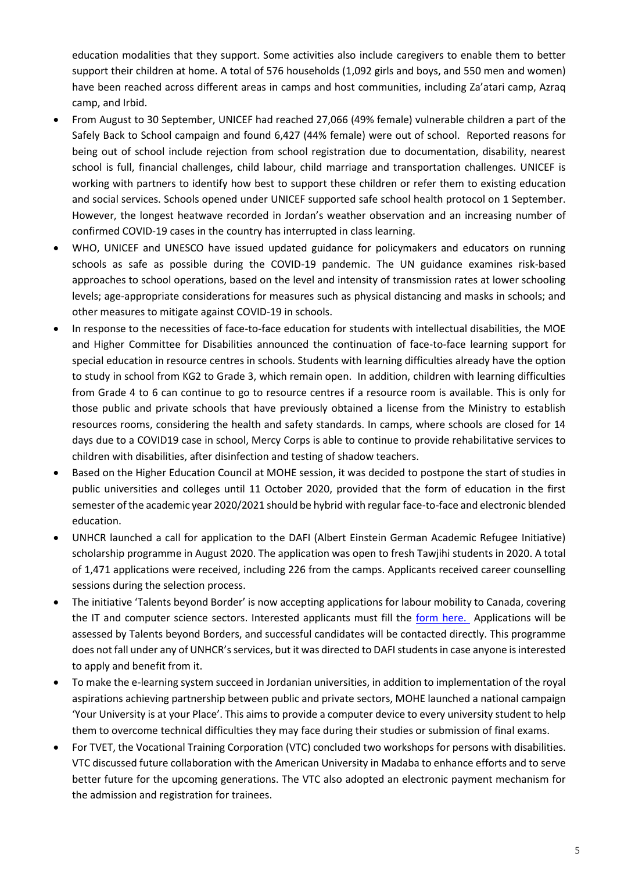education modalities that they support. Some activities also include caregivers to enable them to better support their children at home. A total of 576 households (1,092 girls and boys, and 550 men and women) have been reached across different areas in camps and host communities, including Za'atari camp, Azraq camp, and Irbid.

- From August to 30 September, UNICEF had reached 27,066 (49% female) vulnerable children a part of the Safely Back to School campaign and found 6,427 (44% female) were out of school. Reported reasons for being out of school include rejection from school registration due to documentation, disability, nearest school is full, financial challenges, child labour, child marriage and transportation challenges. UNICEF is working with partners to identify how best to support these children or refer them to existing education and social services. Schools opened under UNICEF supported safe school health protocol on 1 September. However, the longest heatwave recorded in Jordan's weather observation and an increasing number of confirmed COVID-19 cases in the country has interrupted in class learning.
- WHO, UNICEF and UNESCO have issued updated guidance for policymakers and educators on running schools as safe as possible during the COVID-19 pandemic. The UN guidance examines risk-based approaches to school operations, based on the level and intensity of transmission rates at lower schooling levels; age-appropriate considerations for measures such as physical distancing and masks in schools; and other measures to mitigate against COVID-19 in schools.
- In response to the necessities of face-to-face education for students with intellectual disabilities, the MOE and Higher Committee for Disabilities announced the continuation of face-to-face learning support for special education in resource centres in schools. Students with learning difficulties already have the option to study in school from KG2 to Grade 3, which remain open. In addition, children with learning difficulties from Grade 4 to 6 can continue to go to resource centres if a resource room is available. This is only for those public and private schools that have previously obtained a license from the Ministry to establish resources rooms, considering the health and safety standards. In camps, where schools are closed for 14 days due to a COVID19 case in school, Mercy Corps is able to continue to provide rehabilitative services to children with disabilities, after disinfection and testing of shadow teachers.
- Based on the Higher Education Council at MOHE session, it was decided to postpone the start of studies in public universities and colleges until 11 October 2020, provided that the form of education in the first semester of the academic year 2020/2021 should be hybrid with regular face-to-face and electronic blended education.
- UNHCR launched a call for application to the DAFI (Albert Einstein German Academic Refugee Initiative) scholarship programme in August 2020. The application was open to fresh Tawjihi students in 2020. A total of 1,471 applications were received, including 226 from the camps. Applicants received career counselling sessions during the selection process.
- The initiative 'Talents beyond Border' is now accepting applications for labour mobility to Canada, covering the IT and computer science sectors. Interested applicants must fill the form [here.](https://www.tbbtalent.org/candidate-portal/) Applications will be assessed by Talents beyond Borders, and successful candidates will be contacted directly. This programme does not fall under any of UNHCR's services, but it was directed to DAFI students in case anyone is interested to apply and benefit from it.
- To make the e-learning system succeed in Jordanian universities, in addition to implementation of the royal aspirations achieving partnership between public and private sectors, MOHE launched a national campaign 'Your University is at your Place'. This aims to provide a computer device to every university student to help them to overcome technical difficulties they may face during their studies or submission of final exams.
- For TVET, the Vocational Training Corporation (VTC) concluded two workshops for persons with disabilities. VTC discussed future collaboration with the American University in Madaba to enhance efforts and to serve better future for the upcoming generations. The VTC also adopted an electronic payment mechanism for the admission and registration for trainees.